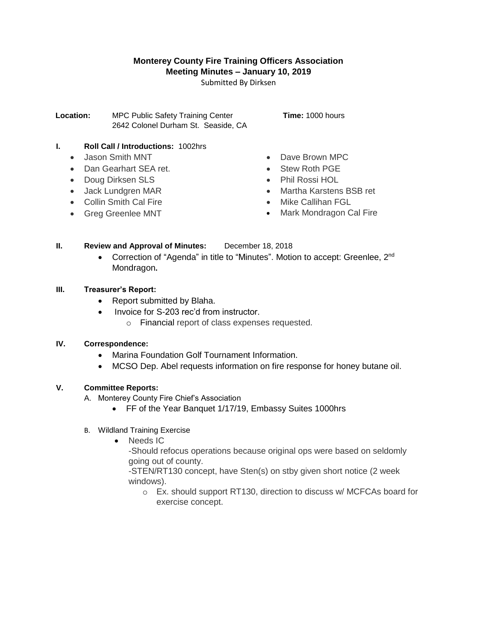## **Monterey County Fire Training Officers Association Meeting Minutes – January 10, 2019**

Submitted By Dirksen

**Location:** MPC Public Safety Training Center **Time:** 1000 hours 2642 Colonel Durham St. Seaside, CA

# **I. Roll Call / Introductions:** 1002hrs

- Jason Smith MNT
- Dan Gearhart SEA ret.
- Doug Dirksen SLS
- Jack Lundgren MAR
- Collin Smith Cal Fire
- Greg Greenlee MNT
- Dave Brown MPC
- Stew Roth PGE
- Phil Rossi HOL
- Martha Karstens BSB ret
- Mike Callihan FGL
- Mark Mondragon Cal Fire

## **II. Review and Approval of Minutes:** December 18, 2018

• Correction of "Agenda" in title to "Minutes". Motion to accept: Greenlee, 2<sup>nd</sup> Mondragon**.**

#### **III. Treasurer's Report:**

- Report submitted by Blaha.
- Invoice for S-203 rec'd from instructor.
	- o Financial report of class expenses requested.

#### **IV. Correspondence:**

- Marina Foundation Golf Tournament Information.
- MCSO Dep. Abel requests information on fire response for honey butane oil.

## **V. Committee Reports:**

- A. Monterey County Fire Chief's Association
	- FF of the Year Banquet 1/17/19, Embassy Suites 1000hrs
- B. Wildland Training Exercise
	- Needs IC

-Should refocus operations because original ops were based on seldomly going out of county.

-STEN/RT130 concept, have Sten(s) on stby given short notice (2 week windows).

o Ex. should support RT130, direction to discuss w/ MCFCAs board for exercise concept.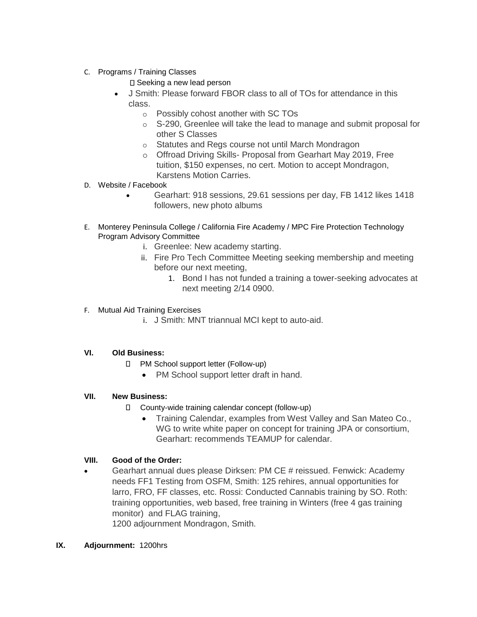- C. Programs / Training Classes
	- □ Seeking a new lead person
	- J Smith: Please forward FBOR class to all of TOs for attendance in this class.
		- o Possibly cohost another with SC TOs
		- o S-290, Greenlee will take the lead to manage and submit proposal for other S Classes
		- o Statutes and Regs course not until March Mondragon
		- o Offroad Driving Skills- Proposal from Gearhart May 2019, Free tuition, \$150 expenses, no cert. Motion to accept Mondragon, Karstens Motion Carries.
- D. Website / Facebook
	- Gearhart: 918 sessions, 29.61 sessions per day, FB 1412 likes 1418 followers, new photo albums
- E. Monterey Peninsula College / California Fire Academy / MPC Fire Protection Technology Program Advisory Committee
	- i. Greenlee: New academy starting.
	- ii. Fire Pro Tech Committee Meeting seeking membership and meeting before our next meeting,
		- 1. Bond I has not funded a training a tower-seeking advocates at next meeting 2/14 0900.
- F. Mutual Aid Training Exercises
	- i. J Smith: MNT triannual MCI kept to auto-aid.

## **VI. Old Business:**

- □ PM School support letter (Follow-up)
	- PM School support letter draft in hand.

## **VII. New Business:**

- County-wide training calendar concept (follow-up)
	- Training Calendar, examples from West Valley and San Mateo Co., WG to write white paper on concept for training JPA or consortium, Gearhart: recommends TEAMUP for calendar.

## **VIII. Good of the Order:**

 Gearhart annual dues please Dirksen: PM CE # reissued. Fenwick: Academy needs FF1 Testing from OSFM, Smith: 125 rehires, annual opportunities for larro, FRO, FF classes, etc. Rossi: Conducted Cannabis training by SO. Roth: training opportunities, web based, free training in Winters (free 4 gas training monitor) and FLAG training,

1200 adjournment Mondragon, Smith.

#### **IX. Adjournment:** 1200hrs